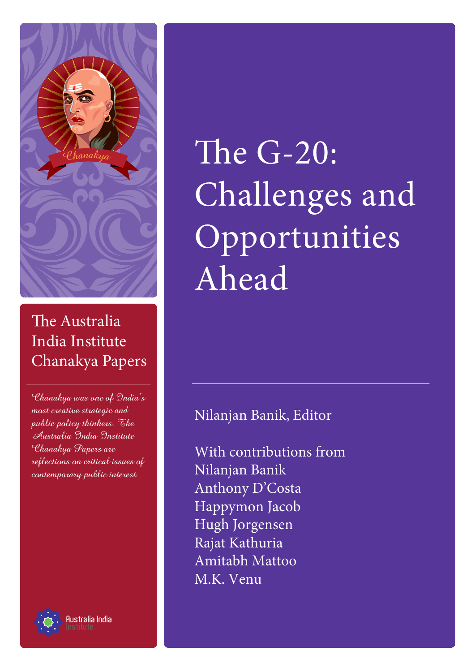

## The Australia India Institute Chanakya Papers

Chanakya was one of India's most creative strategic and public policy thinkers. The Australia India Institute Chanakya Papers are reflections on critical issues of contemporary public interest.



1 anakya kutoka kutoka kutoka kutoka kutoka kutoka kutoka kutoka kutoka kutoka kutoka kutoka kutoka kutoka kut<br>Institute

# The  $G-20$ : Challenges and Opportunities Ahead

## Nilanjan Banik, Editor

With contributions from Nilanjan Banik Anthony D'Costa Happymon Jacob Hugh Jorgensen Rajat Kathuria Amitabh Mattoo M.K. Venu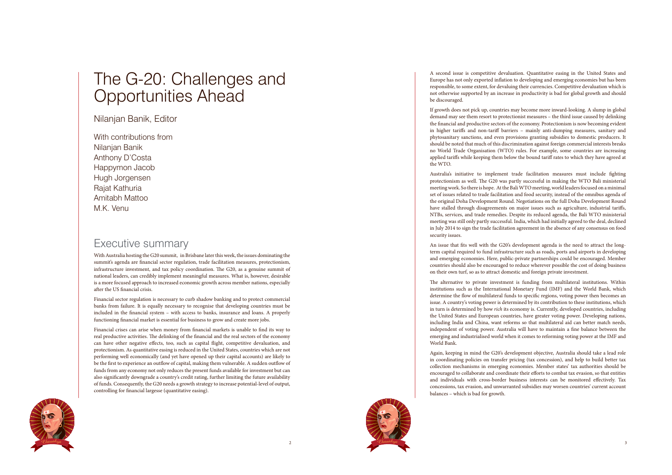



## The G-20: Challenges and Opportunities Ahead

Nilanjan Banik, Editor

With contributions from Nilanjan Banik Anthony D'Costa Happymon Jacob Hugh Jorgensen Rajat Kathuria Amitabh Mattoo M.K. Venu

## Executive summary

With Australia hosting the G20 summit, in Brisbane later this week, the issues dominating the summit's agenda are financial sector regulation, trade facilitation measures, protectionism, infrastructure investment, and tax policy coordination. The G20, as a genuine summit of national leaders, can credibly implement meaningful measures. What is, however, desirable is a more focused approach to increased economic growth across member nations, especially after the US financial crisis.

Financial sector regulation is necessary to curb shadow banking and to protect commercial banks from failure. It is equally necessary to recognise that developing countries must be included in the financial system – with access to banks, insurance and loans. A properly functioning financial market is essential for business to grow and create more jobs.

Financial crises can arise when money from financial markets is unable to find its way to real productive activities. The delinking of the financial and the real sectors of the economy can have other negative effects, too, such as capital flight, competitive devaluation, and protectionism. As quantitative easing is reduced in the United States, countries which are not performing well economically (and yet have opened up their capital accounts) are likely to be the first to experience an outflow of capital, making them vulnerable. A sudden outflow of funds from any economy not only reduces the present funds available for investment but can also significantly downgrade a country's credit rating, further limiting the future availability of funds. Consequently, the G20 needs a growth strategy to increase potential-level of output, controlling for financial largesse (quantitative easing).

A second issue is competitive devaluation. Quantitative easing in the United States and Europe has not only exported inflation to developing and emerging economies but has been responsible, to some extent, for devaluing their currencies. Competitive devaluation which is not otherwise supported by an increase in productivity is bad for global growth and should be discouraged.

If growth does not pick up, countries may become more inward-looking. A slump in global demand may see them resort to protectionist measures – the third issue caused by delinking the financial and productive sectors of the economy. Protectionism is now becoming evident in higher tariffs and non-tariff barriers – mainly anti-dumping measures, sanitary and phytosanitary sanctions, and even provisions granting subsidies to domestic producers. It should be noted that much of this discrimination against foreign commercial interests breaks no World Trade Organisation (WTO) rules. For example, some countries are increasing applied tariffs while keeping them below the bound tariff rates to which they have agreed at the WTO.

Australia's initiative to implement trade facilitation measures must include fighting protectionism as well. The G20 was partly successful in making the WTO Bali ministerial meeting work. So there is hope. At the Bali WTO meeting, world leaders focused on a minimal set of issues related to trade facilitation and food security, instead of the omnibus agenda of the original Doha Development Round. Negotiations on the full Doha Development Round have stalled through disagreements on major issues such as agriculture, industrial tariffs, NTBs, services, and trade remedies. Despite its reduced agenda, the Bali WTO ministerial meeting was still only partly successful. India, which had initially agreed to the deal, declined in July 2014 to sign the trade facilitation agreement in the absence of any consensus on food security issues.

An issue that fits well with the G20's development agenda is the need to attract the longterm capital required to fund infrastructure such as roads, ports and airports in developing and emerging economies. Here, public-private partnerships could be encouraged. Member countries should also be encouraged to reduce wherever possible the cost of doing business on their own turf, so as to attract domestic and foreign private investment.

The alternative to private investment is funding from multilateral institutions. Within institutions such as the International Monetary Fund (IMF) and the World Bank, which determine the flow of multilateral funds to specific regions, voting power then becomes an issue. A country's voting power is determined by its contribution to these institutions, which in turn is determined by how *rich* its economy is. Currently, developed countries, including the United States and European countries, have greater voting power. Developing nations, including India and China, want reforms so that multilateral aid can better match needs, independent of voting power. Australia will have to maintain a fine balance between the emerging and industrialised world when it comes to reforming voting power at the IMF and World Bank.

Again, keeping in mind the G20's development objective, Australia should take a lead role in coordinating policies on transfer pricing (tax concession), and help to build better tax collection mechanisms in emerging economies. Member states' tax authorities should be encouraged to collaborate and coordinate their efforts to combat tax evasion, so that entities and individuals with cross-border business interests can be monitored effectively. Tax concessions, tax evasion, and unwarranted subsidies may worsen countries' current account balances – which is bad for growth.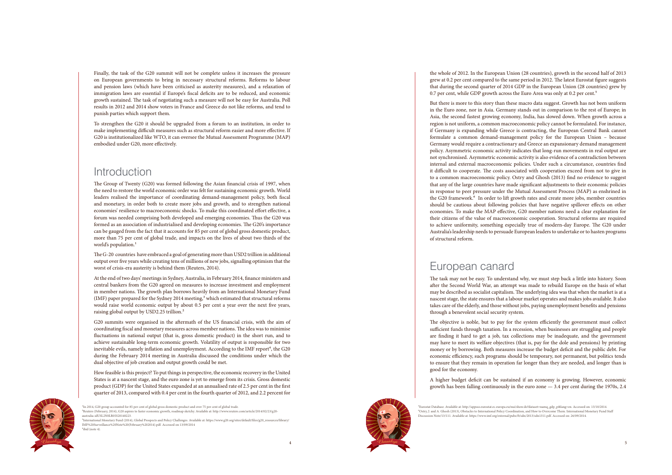4



<sup>&</sup>lt;sup>1</sup>In 2014, G20 group accounted for 85 per cent of global gross domestic product and over 75 per cent of global trade.

<sup>a</sup>naky<sup>a</sup>

Finally, the task of the G20 summit will not be complete unless it increases the pressure on European governments to bring in necessary structural reforms. Reforms to labour and pension laws (which have been criticised as austerity measures), and a relaxation of immigration laws are essential if Europe's fiscal deficits are to be reduced, and economic growth sustained. The task of negotiating such a measure will not be easy for Australia. Poll results in 2012 and 2014 show voters in France and Greece do not like reforms, and tend to punish parties which support them.

To strengthen the G20 it should be upgraded from a forum to an institution, in order to make implementing difficult measures such as structural reform easier and more effective. If G20 is institutionalized like WTO, it can oversee the Mutual Assessment Programme (MAP) embodied under G20, more effectively.

## Introduction

The Group of Twenty (G20) was formed following the Asian financial crisis of 1997, when the need to restore the world economic order was felt for sustaining economic growth. World leaders realised the importance of coordinating demand-management policy, both fiscal and monetary, in order both to create more jobs and growth, and to strengthen national economies' resilience to macroeconomic shocks. To make this coordinated effort effective, a forum was needed comprising both developed and emerging economies. Thus the G20 was formed as an association of industrialised and developing economies. The G20's importance can be gauged from the fact that it accounts for 85 per cent of global gross domestic product, more than 75 per cent of global trade, and impacts on the lives of about two thirds of the world's population. 1

the whole of 2012. In the European Union (28 countries), growth in the second half of 2013 grew at 0.2 per cent compared to the same period in 2012. The latest Eurostat figure suggests that during the second quarter of 2014 GDP in the European Union (28 countries) grew by 0.7 per cent, while GDP growth across the Euro Area was only at 0.2 per cent.<sup>5</sup>

The G-20 countries have embraced a goal of generating more than USD2 trillion in additional output over five years while creating tens of millions of new jobs, signalling optimism that the worst of crisis-era austerity is behind them (Reuters, 2014).

At the end of two days' meetings in Sydney, Australia, in February 2014, finance ministers and central bankers from the G20 agreed on measures to increase investment and employment in member nations. The growth plan borrows heavily from an International Monetary Fund (IMF) paper prepared for the Sydney 2014 meeting, 3 which estimated that structural reforms would raise world economic output by about 0.5 per cent a year over the next five years, raising global output by USD2.25 trillion. 2

G20 summits were organised in the aftermath of the US financial crisis, with the aim of coordinating fiscal and monetary measures across member nations. The idea was to minimise fluctuations in national output (that is, gross domestic product) in the short run, and to achieve sustainable long-term economic growth. Volatility of output is responsible for two inevitable evils, namely inflation and unemployment. According to the IMF report<sup>4</sup>, the G20 during the February 2014 meeting in Australia discussed the conditions under which the dual objective of job creation and output growth could be met.

How feasible is this project? To put things in perspective, the economic recovery in the United States is at a nascent stage, and the euro zone is yet to emerge from its crisis. Gross domestic product (GDP) for the United States expanded at an annualised rate of 2.5 per cent in the first quarter of 2013, compared with 0.4 per cent in the fourth quarter of 2012, and 2.2 percent for

2Reuters (February, 2014), G20 aspires to faster economic growth, roadmap sketchy. Available at: http://www.reuters.com/article/2014/02/23/g20 australia-idUSL2N0LR05S20140223.

But there is more to this story than these macro data suggest. Growth has not been uniform in the Euro zone, nor in Asia. Germany stands out in comparison to the rest of Europe; in Asia, the second fastest growing economy, India, has slowed down. When growth across a region is not uniform, a common macroeconomic policy cannot be formulated. For instance, if Germany is expanding while Greece is contracting, the European Central Bank cannot formulate a common demand-management policy for the European Union – because Germany would require a contractionary and Greece an expansionary demand management policy. Asymmetric economic activity indicates that long-run movements in real output are not synchronised. Asymmetric economic activity is also evidence of a contradiction between internal and external macroeconomic policies. Under such a circumstance, countries find it difficult to cooperate. The costs associated with cooperation exceed from not to give in to a common macroeconomic policy. Ostry and Ghosh (2013) find no evidence to suggest that any of the large countries have made significant adjustments to their economic policies in response to peer pressure under the Mutual Assessment Process (MAP) as enshrined in the G20 framework.<sup>6</sup> In order to lift growth rates and create more jobs, member countries should be cautious about following policies that have negative spillover effects on other economies. To make the MAP effective, G20 member nations need a clear explanation for their citizens of the value of macroeconomic cooperation. Structural reforms are required to achieve uniformity, something especially true of modern-day Europe. The G20 under Australia's leadership needs to persuade European leaders to undertake or to hasten programs of structural reform.

## European canard

The task may not be easy. To understand why, we must step back a little into history. Soon after the Second World War, an attempt was made to rebuild Europe on the basis of what may be described as socialist capitalism. The underlying idea was that when the market is at a nascent stage, the state ensures that a labour market operates and makes jobs available. It also takes care of the elderly, and those without jobs, paying unemployment benefits and pensions through a benevolent social security system.

The objective is noble, but to pay for the system efficiently the government must collect sufficient funds through taxation. In a recession, when businesses are struggling and people are finding it hard to get a job, tax collections may be inadequate, and the government may have to meet its welfare objectives (that is, pay for the dole and pensions) by printing money or by borrowing. Both measures increase the budget deficit and the public debt. For economic efficiency, such programs should be temporary, not permanent, but politics tends to ensure that they remain in operation far longer than they are needed, and longer than is good for the economy.

A higher budget deficit can be sustained if an economy is growing. However, economic growth has been falling continuously in the euro zone — 3.4 per cent during the 1970s, 2.4

⁵Eurostat Database. Available at: http://appsso.eurostat.ec.europa.eu/nui/show.do?dataset=namq\_gdp\_p&lang=en. Accessed on: 13/10/2014. Discussion Note/13/111. Available at: https://www.imf.org/external/pubs/ft/sdn/2013/sdn1311.pdf. Accessed on: 26/09/2014.

 $\mathcal{C}_h$ 

<sup>3</sup>International Monetary Fund (2014), Global Prospects and Policy Challenges. Available at: https://www.g20.org/sites/default/files/g20\_resources/library/ IMF%20Surveillance%20Note%20(February%202014).pdf. Accessed on 13/09/2014  $f$ ibid (note 4).

⁶Ostry, J. and A. Ghosh (2013), Obstacles to International Policy Coordination, and How to Overcome Them. International Monetary Fund Staff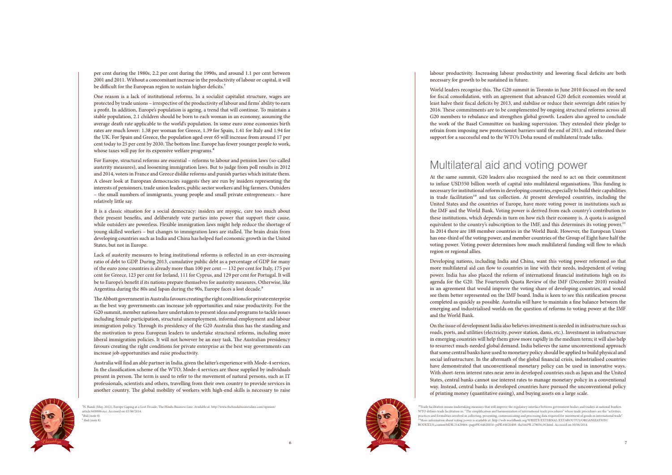per cent during the 1980s, 2.2 per cent during the 1990s, and around 1.1 per cent between 2001 and 2011. Without a concomitant increase in the productivity of labour or capital, it will be difficult for the European region to sustain higher deficits.<sup>7</sup>



<sup>7</sup>N. Banik (May, 2012), Europe Gaping at a Lost Decade, The Hindu Business Line. Available at: http://www.thehindubusinessline.com/opinion/ article3408886.ece. Accessed on 03/06/2014.  $<sup>8</sup>$ ibid (note 8).</sup>  $9$  ibid (note 8).

<sup>a</sup>naky<sup>a</sup>

One reason is a lack of institutional reforms. In a socialist capitalist structure, wages are protected by trade unions – irrespective of the productivity of labour and firms' ability to earn a profit. In addition, Europe's population is ageing, a trend that will continue. To maintain a stable population, 2.1 children should be born to each woman in an economy, assuming the average death rate applicable to the world's population. In some euro zone economies birth rates are much lower: 1.38 per woman for Greece, 1.39 for Spain, 1.41 for Italy and 1.94 for the UK. For Spain and Greece, the population aged over 65 will increase from around 17 per cent today to 25 per cent by 2030. The bottom line: Europe has fewer younger people to work, whose taxes will pay for its expensive welfare programs.<sup>8</sup>

Lack of austerity measures to bring institutional reforms is reflected in an ever-increasing ratio of debt to GDP. During 2013, cumulative public debt as a percentage of GDP for many of the euro zone countries is already more than 100 per cent — 132 per cent for Italy, 175 per cent for Greece, 123 per cent for Ireland, 111 for Cyprus, and 129 per cent for Portugal. It will be to Europe's benefit if its nations prepare themselves for austerity measures. Otherwise, like Argentina during the 80s and Japan during the 90s, Europe faces a lost decade.<sup>9</sup>

For Europe, structural reforms are essential – reforms to labour and pension laws (so-called austerity measures), and loosening immigration laws. But to judge from poll results in 2012 and 2014, voters in France and Greece dislike reforms and punish parties which initiate them. A closer look at European democracies suggests they are run by insiders representing the interests of pensioners, trade union leaders, public sector workers and big farmers. Outsiders – the small numbers of immigrants, young people and small private entrepreneurs – have relatively little say.

It is a classic situation for a social democracy: insiders are myopic, care too much about their present benefits, and deliberately vote parties into power that support their cause, while outsiders are powerless. Flexible immigration laws might help reduce the shortage of young skilled workers – but changes to immigration laws are stalled. The brain drain from developing countries such as India and China has helped fuel economic growth in the United States, but not in Europe.

The Abbott government in Australia favours creating the right conditions for private enterprise as the best way governments can increase job opportunities and raise productivity. For the G20 summit, member nations have undertaken to present ideas and programs to tackle issues including female participation, structural unemployment, informal employment and labour immigration policy. Through its presidency of the G20 Australia thus has the standing and the motivation to press European leaders to undertake structural reforms, including more liberal immigration policies. It will not however be an easy task. The Australian presidency favours creating the right conditions for private enterprise as the best way governments can increase job opportunities and raise productivity.

Australia will find an able partner in India, given the latter's experience with Mode-4 services. In the classification scheme of the WTO, Mode-4 services are those supplied by individuals present in person. The term is used to refer to the movement of natural persons, such as IT professionals, scientists and others, travelling from their own country to provide services in another country. The global mobility of workers with high-end skills is necessary to raise labour productivity. Increasing labour productivity and lowering fiscal deficits are both necessary for growth to be sustained in future.

World leaders recognise this. The G20 summit in Toronto in June 2010 focused on the need for fiscal consolidation, with an agreement that advanced G20 deficit economies would at least halve their fiscal deficits by 2013, and stabilise or reduce their sovereign debt ratios by 2016. These commitments are to be complemented by ongoing structural reforms across all G20 members to rebalance and strengthen global growth. Leaders also agreed to conclude the work of the Basel Committee on banking supervision. They extended their pledge to refrain from imposing new protectionist barriers until the end of 2013, and reiterated their support for a successful end to the WTO's Doha round of multilateral trade talks.

## Multilateral aid and voting power

At the same summit, G20 leaders also recognised the need to act on their commitment to infuse USD350 billion worth of capital into multilateral organisations. This funding is necessary for institutional reform in developing countries, especially to build their capabilities in trade facilitation<sup>10</sup> and tax collection. At present developed countries, including the United States and the countries of Europe, have more voting power in institutions such as the IMF and the World Bank. Voting power is derived from each country's contribution to these institutions, which depends in turn on how rich their economy is. A quota is assigned equivalent to the country's subscription to the IMF, and this determines its voting power.<sup>11</sup> In 2014 there are 188 member countries in the World Bank. However, the European Union has one-third of the voting power, and member countries of the Group of Eight have half the voting power. Voting power determines how much multilateral funding will flow to which region or regional allies.

Developing nations, including India and China, want this voting power reformed so that more multilateral aid can flow to countries in line with their needs, independent of voting power. India has also placed the reform of international financial institutions high on its agenda for the G20. The Fourteenth Quota Review of the IMF (December 2010) resulted in an agreement that would improve the voting share of developing countries, and would see them better represented on the IMF board. India is keen to see this ratification process completed as quickly as possible. Australia will have to maintain a fine balance between the emerging and industrialised worlds on the question of reforms to voting power at the IMF and the World Bank.

On the issue of development India also believes investment is needed in infrastructure such as roads, ports, and utilities (electricity, power station, dams, etc.). Investment in infrastructure in emerging countries will help them grow more rapidly in the medium term; it will also help to resurrect much-needed global demand. India believes the same unconventional approach that some central banks have used to monetary policy should be applied to build physical and social infrastructure. In the aftermath of the global financial crisis, industrialised countries have demonstrated that unconventional monetary policy can be used in innovative ways. With short-term interest rates near zero in developed countries such as Japan and the United States, central banks cannot use interest rates to manage monetary policy in a conventional way. Instead, central banks in developed countries have pursued the unconventional policy of printing money (quantitative easing), and buying assets on a large scale.

BODEXT/0,,contentMDK:21429866~pagePK:64020054~piPK:64020408~theSitePK:278036,00.html. Accessed on 30/06/2014.

 $\mathcal{C}_h$ 

<sup>&</sup>lt;sup>10</sup>Trade facilitation means undertaking measures that will improve the regulatory interface between government bodies and traders at national borders. WTO defines trade facilitation as: "The simplification and harmonization of international trade procedures" where trade procedures are the "activities, practices and formalities involved in collecting, presenting, communicating and processing data required for movement of goods in international trade". 11More information about voting power is available at: http://web.worldbank.org/WBSITE/EXTERNAL/EXTABOUTUS/ORGANIZATION/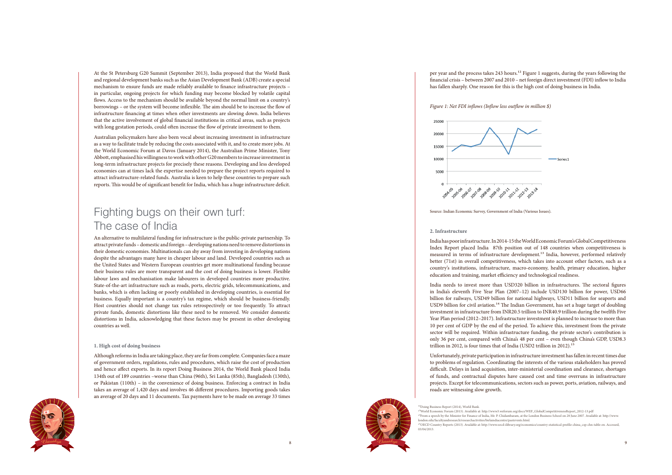

<sup>a</sup>naky<sup>a</sup>

At the St Petersburg G20 Summit (September 2013), India proposed that the World Bank and regional development banks such as the Asian Development Bank (ADB) create a special mechanism to ensure funds are made reliably available to finance infrastructure projects – in particular, ongoing projects for which funding may become blocked by volatile capital flows. Access to the mechanism should be available beyond the normal limit on a country's borrowings – or the system will become inflexible. The aim should be to increase the flow of infrastructure financing at times when other investments are slowing down. India believes that the active involvement of global financial institutions in critical areas, such as projects with long gestation periods, could often increase the flow of private investment to them.

Australian policymakers have also been vocal about increasing investment in infrastructure as a way to facilitate trade by reducing the costs associated with it, and to create more jobs. At the World Economic Forum at Davos (January 2014), the Australian Prime Minister, Tony Abbott, emphasised his willingness to work with other G20 members to increase investment in long-term infrastructure projects for precisely these reasons. Developing and less developed economies can at times lack the expertise needed to prepare the project reports required to attract infrastructure-related funds. Australia is keen to help these countries to prepare such reports. This would be of significant benefit for India, which has a huge infrastructure deficit.

## Fighting bugs on their own turf: The case of India

## per year and the process takes 243 hours.<sup>12</sup> Figure 1 suggests, during the years following the financial crisis – between 2007 and 2010 – net foreign direct investment (FDI) inflow to India has fallen sharply. One reason for this is the high cost of doing business in India.



India needs to invest more than USD320 billion in infrastructures. The sectoral figures in India's eleventh Five Year Plan (2007–12) include USD130 billion for power, USD66 billion for railways, USD49 billion for national highways, USD11 billion for seaports and USD9 billion for civil aviation.<sup>14</sup> The Indian Government, has set a huge target of doubling investment in infrastructure from INR20.5 trillion to INR40.9 trillion during the twelfth Five Year Plan period (2012–2017). Infrastructure investment is planned to increase to more than 10 per cent of GDP by the end of the period. To achieve this, investment from the private sector will be required. Within infrastructure funding, the private sector's contribution is only 36 per cent, compared with China's 48 per cent – even though China's GDP, USD8.3 trillion in 2012, is four times that of India (USD2 trillion in 2012).<sup>15</sup>

An alternative to multilateral funding for infrastructure is the public-private partnership. To attract private funds – domestic and foreign – developing nations need to remove distortions in their domestic economies. Multinationals can shy away from investing in developing nations despite the advantages many have in cheaper labour and land. Developed countries such as the United States and Western European countries get more multinational funding because their business rules are more transparent and the cost of doing business is lower. Flexible labour laws and mechanisation make labourers in developed countries more productive. State-of-the-art infrastructure such as roads, ports, electric grids, telecommunications, and banks, which is often lacking or poorly established in developing countries, is essential for business. Equally important is a country's tax regime, which should be business-friendly. Host countries should not change tax rules retrospectively or too frequently. To attract private funds, domestic distortions like these need to be removed. We consider domestic distortions in India, acknowledging that these factors may be present in other developing countries as well.

#### **1. High cost of doing business**

Although reforms in India are taking place, they are far from complete. Companies face a maze of government orders, regulations, rules and procedures, which raise the cost of production and hence affect exports. In its report Doing Business 2014, the World Bank placed India 134th out of 189 countries –worse than China (96th), Sri Lanka (85th), Bangladesh (130th), or Pakistan (110th) – in the convenience of doing business. Enforcing a contract in India takes an average of 1,420 days and involves 46 different procedures. Importing goods takes an average of 20 days and 11 documents. Tax payments have to be made on average 33 times *Figure 1: Net FDI inflows (Inflow less outflow in million \$)*



Source: Indian Economic Survey, Government of India (Various Issues).

## **2. Infrastructure**

India has poor infrastructure. In 2014-15 the World Economic Forum's Global Competitiveness Index Report placed India 87th position out of 148 countries when competitiveness is measured in terms of infrastructure development.13 India, however, performed relatively better (71st) in overall competitiveness, which takes into account other factors, such as a country's institutions, infrastructure, macro-economy, health, primary education, higher education and training, market efficiency and technological readiness.

Unfortunately, private participation in infrastructure investment has fallen in recent times due to problems of regulation. Coordinating the interests of the various stakeholders has proved difficult. Delays in land acquisition, inter-ministerial coordination and clearance, shortages of funds, and contractual disputes have caused cost and time overruns in infrastructure projects. Except for telecommunications, sectors such as power, ports, aviation, railways, and roads are witnessing slow growth.



13World Economic Forum (2013). Available at: http://www3.weforum.org/docs/WEF\_GlobalCompetitivenessReport\_2012-13.pdf <sup>14</sup>From a speech by the Minister for Finance of India, Mr. P. Chidambaram, at the London Business School on 28 June 2007. Available at: http://www. london.edu/facultyandresearch/researchactivities/birlaindiacentre/pastevents.html. <sup>15</sup>OECD Country Reports (2013). Available at: http://www.oecd-ilibrary.org/economics/country-statistical-profile-china\_csp-chn-table-en. Accessed 03/04/2013.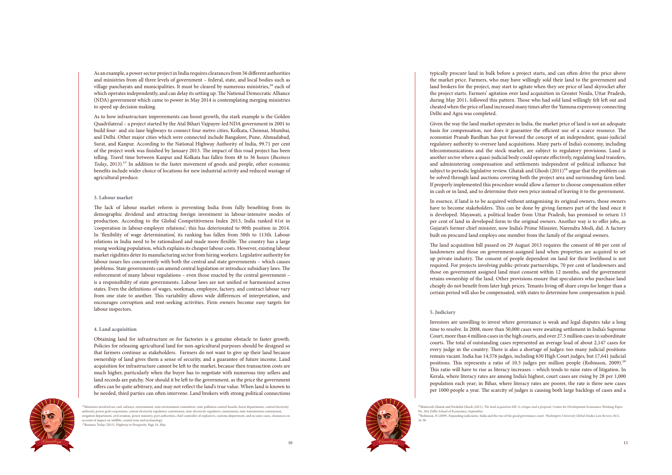10



<sup>16</sup>Ministries involved are coal, railways, environment, state environment committees, state pollution control boards, forest departments, central electricity authority, power grid corporation, central electricity regulatory commission, state electricity regulatory commission, state tran irrigation department, civil aviation, power ministry, port authorities, chief controller of explosives, customs department, and in some cases, clearances on account of impact on wildlife, coastal zone and archaeology.<br><sup>17</sup>Business Today (2013). Highway to Prosperity. Page 16, May

<sup>a</sup>naky<sup>a</sup>

As an example, a power sector project in India requires clearances from 56 different authorities and ministries from all three levels of government – federal, state, and local bodies such as village panchayats and municipalities. It must be cleared by numerous ministries,<sup>16</sup> each of which operates independently, and can delay its setting up. The National Democratic Alliance (NDA) government which came to power in May 2014 is contemplating merging ministries to speed up decision making.

As to how infrastructure improvements can boost growth, the stark example is the Golden Quadrilateral – a project started by the Atal Bihari Vajpayee-led NDA government in 2001 to build four- and six-lane highways to connect four metro cities, Kolkata, Chennai, Mumbai, and Delhi. Other major cities which were connected include Bangalore, Pune, Ahmadabad, Surat, and Kanpur. According to the National Highway Authority of India, 99.71 per cent of the project work was finished by January 2013. The impact of this road project has been telling. Travel time between Kanpur and Kolkata has fallen from 48 to 36 hours (*Business Today*, 2013).<sup>17</sup> In addition to the faster movement of goods and people, other economic benefits include wider choice of locations for new industrial activity and reduced wastage of agricultural produce.

#### **3. Labour market**

The lack of labour market reform is preventing India from fully benefiting from its demographic dividend and attracting foreign investment in labour-intensive modes of production. According to the Global Competitiveness Index 2013, India ranked 61st in 'cooperation in labour-employer relations'; this has deteriorated to 90th position in 2014. In 'flexibility of wage determination', its ranking has fallen from 50th to 113th. Labour relations in India need to be rationalised and made more flexible. The country has a large young working population, which explains its cheaper labour costs. However, existing labour market rigidities deter its manufacturing sector from hiring workers. Legislative authority for labour issues lies concurrently with both the central and state governments – which causes problems. State governments can amend central legislation or introduce subsidiary laws. The enforcement of many labour regulations – even those enacted by the central government – is a responsibility of state governments. Labour laws are not unified or harmonised across states. Even the definitions of wages, workman, employee, factory, and contract labour vary from one state to another. This variability allows wide differences of interpretation, and encourages corruption and rent-seeking activities. Firm owners become easy targets for labour inspectors.

#### **4. Land acquisition**

Obtaining land for infrastructure or for factories is a genuine obstacle to faster growth. Policies for releasing agricultural land for non-agricultural purposes should be designed so that farmers continue as stakeholders. Farmers do not want to give up their land because ownership of land gives them a sense of security, and a guarantee of future income. Land acquisition for infrastructure cannot be left to the market, because then transaction costs are much higher, particularly when the buyer has to negotiate with numerous tiny sellers and land records are patchy. Nor should it be left to the government, as the price the government offers can be quite arbitrary, and may not reflect the land's true value. When land is known to be needed, third parties can often intervene. Land brokers with strong political connections

typically procure land in bulk before a project starts, and can often drive the price above the market price. Farmers, who may have willingly sold their land to the government and land brokers for the project, may start to agitate when they see price of land skyrocket after the project starts. Farmers' agitation over land acquisition in Greater Noida, Uttar Pradesh, during May 2011, followed this pattern. Those who had sold land willingly felt left out and cheated when the price of land increased many times after the Yamuna expressway connecting Delhi and Agra was completed.

Given the way the land market operates in India, the market price of land is not an adequate basis for compensation, nor does it guarantee the efficient use of a scarce resource. The economist Pranab Bardhan has put forward the concept of an independent, quasi-judicial regulatory authority to oversee land acquisitions. Many parts of India's economy, including telecommunications and the stock market, are subject to regulatory provisions. Land is another sector where a quasi-judicial body could operate effectively, regulating land transfers, and administering compensation and settlements independent of political influence but subject to periodic legislative review. Ghatak and Ghosh (2011)<sup>18</sup> argue that the problem can be solved through land auctions covering both the project area and surrounding farm land. If properly implemented this procedure would allow a farmer to choose compensation either in cash or in land, and to determine their own price instead of leaving it to the government.

In essence, if land is to be acquired without antagonising its original owners, those owners have to become stakeholders. This can be done by giving farmers part of the land once it is developed. Mayawati, a political leader from Uttar Pradesh, has promised to return 13 per cent of land in developed form to the original owners. Another way is to offer jobs, as Gujarat's former chief minister, now India's Prime Minister, Narendra Modi, did. A factory built on procured land employs one member from the family of the original owners.

The land acquisition bill passed on 29 August 2013 requires the consent of 80 per cent of landowners and those on government-assigned land when properties are acquired to set up private industry. The consent of people dependent on land for their livelihood is not required. For projects involving public-private partnerships, 70 per cent of landowners and those on government assigned land must consent within 12 months, and the government retains ownership of the land. Other provisions ensure that speculators who purchase land cheaply do not benefit from later high prices. Tenants living off share crops for longer than a certain period will also be compensated, with states to determine how compensation is paid.

## **5. Judiciary**

 $\mathcal{C}_h$ 

Investors are unwilling to invest where governance is weak and legal disputes take a long time to resolve. In 2008, more than 50,000 cases were awaiting settlement in India's Supreme Court, more than 4 million cases in the high courts, and over 27.5 million cases in subordinate courts. The total of outstanding cases represented an average load of about 2,147 cases for every judge in the country. There is also a shortage of judges: too many judicial positions remain vacant. India has 14,576 judges, including 630 High Court judges, but 17,641 judicial positions. This represents a ratio of 10.5 judges per million people (Robinson, 2009).<sup>19</sup> This ratio will have to rise as literacy increases – which tends to raise rates of litigation. In Kerala, where literacy rates are among India's highest, court cases are rising by 28 per 1,000 population each year; in Bihar, where literacy rates are poorer, the rate is three new cases per 1000 people a year. The scarcity of judges is causing both large backlogs of cases and a

No. 204, Delhi School of Economics, September. 1⁹Robinson, N (2009). Expanding judiciaries: India and the rise of the good governance court. *Washington University Global Studies Law Review*, 8(1), 16-38.

<sup>&</sup>lt;sup>18</sup>Maitreesh Ghatak and Parikshit Ghosh (2011), *The land acquisition bill: A critique and a proposal*, Centre for Development Economics Working Paper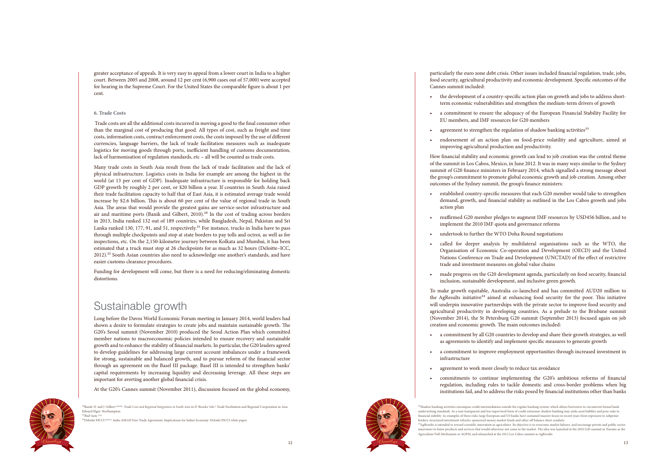

<sup>20</sup>Banik<sup>,</sup> N<sup>.</sup> and J<sup>.</sup> Gilbert <sup>(2010).</sup> *Trade Cost and Regional Integration in South Asia* in D<sup>.</sup> Brooks (eds<sup>.),</sup> Trade Facilitation and Regional Cooperation in Asia<sup>,</sup> Edward Elgar, Northampton.  $^{21}$ Ibid (note 13)

<sup>a</sup>naky<sup>a</sup>

greater acceptance of appeals. It is very easy to appeal from a lower court in India to a higher court. Between 2005 and 2008, around 12 per cent (6,900 cases out of 57,000) were accepted for hearing in the Supreme Court. For the United States the comparable figure is about 1 per cent.

#### **6. Trade Costs**

 Trade costs are all the additional costs incurred in moving a good to the final consumer other than the marginal cost of producing that good. All types of cost, such as freight and time costs, information costs, contract enforcement costs, the costs imposed by the use of different currencies, language barriers, the lack of trade facilitation measures such as inadequate logistics for moving goods through ports, inefficient handling of customs documentation, lack of harmonisation of regulation standards, etc – all will be counted as trade costs.

Many trade costs in South Asia result from the lack of trade facilitation and the lack of physical infrastructure. Logistics costs in India for example are among the highest in the world (at 13 per cent of GDP). Inadequate infrastructure is responsible for holding back GDP growth by roughly 2 per cent, or \$20 billion a year. If countries in South Asia raised their trade facilitation capacity to half that of East Asia, it is estimated average trade would increase by \$2.6 billion. This is about 60 per cent of the value of regional trade in South Asia. The areas that would provide the greatest gains are service-sector infrastructure and air and maritime ports (Banik and Gilbert, 2010). 2⁰ In the cost of trading across borders in 2013, India ranked 132 out of 189 countries, while Bangladesh, Nepal, Pakistan and Sri Lanka ranked 130, 177, 91, and 51, respectively.<sup>21</sup> For instance, trucks in India have to pass through multiple checkpoints and stop at state borders to pay tolls and octroi, as well as for inspections, etc. On the 2,150-kilometre journey between Kolkata and Mumbai, it has been estimated that a truck must stop at 26 checkpoints for as much as 32 hours (Deloitte–ICC,  $2012$ ).<sup>22</sup> South Asian countries also need to acknowledge one another's standards, and have easier customs clearance procedures.

- the development of a country-specific action plan on growth and jobs to address shortterm economic vulnerabilities and strengthen the medium-term drivers of growth
- a commitment to ensure the adequacy of the European Financial Stability Facility for EU members, and IMF resources for G20 members
- 
- improving agricultural production and productivity.

Funding for development will come, but there is a need for reducing/eliminating domestic distortions.

## Sustainable growth

- To make growth equitable, Australia co-launched and has committed AUD20 million to the AgResults initiative<sup>24</sup> aimed at enhancing food security for the poor. This initiative will underpin innovative partnerships with the private sector to improve food security and agricultural productivity in developing countries. As a prelude to the Brisbane summit (November 2014), the St Petersburg G20 summit (September 2013) focused again on job
	- a commitment to improve employment opportunities through increased investment in
	- agreement to work more closely to reduce tax avoidance

Long before the Davos World Economic Forum meeting in January 2014, world leaders had shown a desire to formulate strategies to create jobs and maintain sustainable growth. The G20's Seoul summit (November 2010) produced the Seoul Action Plan which committed member nations to macroeconomic policies intended to ensure recovery and sustainable growth and to enhance the stability of financial markets. In particular, the G20 leaders agreed to develop guidelines for addressing large current account imbalances under a framework for strong, sustainable and balanced growth, and to pursue reform of the financial sector through an agreement on the Basel III package. Basel III is intended to strengthen banks' capital requirements by increasing liquidity and decreasing leverage. All these steps are important for averting another global financial crisis.

- a commitment by all G20 countries to develop and share their growth strategies, as well as agreements to identify and implement specific measures to generate growth
- infrastructure
- 
- commitments to continue implementing the G20's ambitious reforms of financial regulation, including rules to tackle domestic and cross-border problems when big institutions fail, and to address the risks posed by financial institutions other than banks

At the G20's Cannes summit (November 2011), discussion focused on the global economy,

particularly the euro zone debt crisis. Other issues included financial regulation, trade, jobs, food security, agricultural productivity and economic development. Specific outcomes of the

- agreement to strengthen the regulation of shadow banking activities<sup>23</sup>
- endorsement of an action plan on food-price volatility and agriculture, aimed at
- How financial stability and economic growth can lead to job creation was the central theme of the summit in Los Cabos, Mexico, in June 2012. It was in many ways similar to the Sydney summit of G20 finance ministers in February 2014, which signalled a strong message about the group's commitment to promote global economic growth and job creation. Among other
- established country-specific measures that each G20 member would take to strengthen demand, growth, and financial stability as outlined in the Los Cabos growth and jobs
	- reaffirmed G20 member pledges to augment IMF resources by USD456 billion, and to
		-

Cannes summit included:

lenders<sup>,</sup> structured investment vehicles<sup>,</sup> sponsored money market funds and other off-balance sheet conduits<sup>.</sup> Agriculture Pull Mechanism or AGPM, and relaunched at the 2012 Los Cabos summit as AgResults.

 $\mathcal{C}_h$ 

outcomes of the Sydney summit, the group's finance ministers:

- action plan
- implement the 2010 IMF quota and governance reforms
- undertook to further the WTO Doha Round negotiations
- called for deeper analysis by multilateral organisations such as the WTO, the Organisation of Economic Co-operation and Development (OECD) and the United Nations Conference on Trade and Development (UNCTAD) of the effect of restrictive trade and investment measures on global value chains
- made progress on the G20 development agenda, particularly on food security, financial inclusion, sustainable development, and inclusive green growth.

creation and economic growth. The main outcomes included:

22Deloitte-FICCI (2011). India ASEAN Free Trade Agreement: Implications for India's Economy. Deloitte-FICCI white paper.

<sup>&</sup>lt;sup>23</sup>Shadow banking activities encompass credit intermediation outside the regular banking system<sup>,</sup> which allows borrowers to circumvent formal bank underwriting standards. As a non-transparent and less-supervised form of credit extension, shadow banking may stoke asset bubbles and pose risks to financial stability. As examples of these risks, large European and US banks have sustained massive losses in recent years from exposures to subprime

 $^{24}$ AgResults is intended to reward scientific innovation in agriculture. Its objective is to overcome market failures, and encourage private and public sector innovators to foster products and services that would otherwise not come to the market. The idea was launched at the 2010 G20 summit in Toronto as the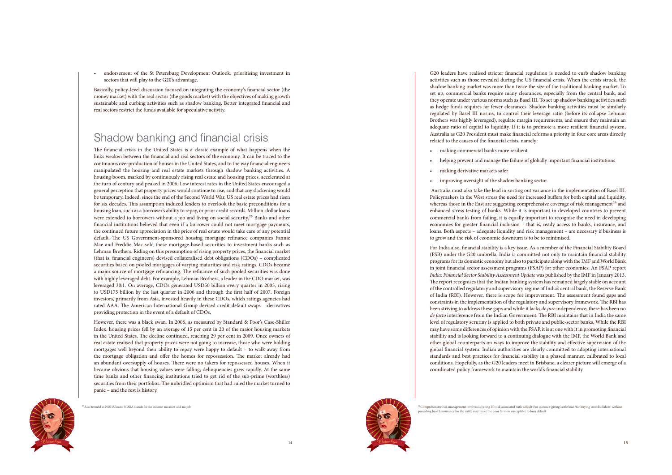$\mathcal{C}_h$ <sup>a</sup>naky<sup>a</sup>



<sup>25</sup> Also termed as NINJA loans<sup>.</sup> NINJA stands for no income<sup>,</sup> no asset<sup>,</sup> and no job.

endorsement of the St Petersburg Development Outlook, prioritising investment in sectors that will play to the G20's advantage.

Basically, policy-level discussion focused on integrating the economy's financial sector (the money market) with the real sector (the goods market) with the objectives of making growth sustainable and curbing activities such as shadow banking. Better integrated financial and real sectors restrict the funds available for speculative activity.

## Shadow banking and financial crisis

The financial crisis in the United States is a classic example of what happens when the links weaken between the financial and real sectors of the economy. It can be traced to the continuous overproduction of houses in the United States, and to the way financial engineers manipulated the housing and real estate markets through shadow banking activities. A housing boom, marked by continuously rising real estate and housing prices, accelerated at the turn of century and peaked in 2006. Low interest rates in the United States encouraged a general perception that property prices would continue to rise, and that any slackening would be temporary. Indeed, since the end of the Second World War, US real estate prices had risen for six decades. This assumption induced lenders to overlook the basic preconditions for a housing loan, such as a borrower's ability to repay, or prior credit records. Million-dollar loans were extended to borrowers without a job and living on social security.<sup>25</sup> Banks and other financial institutions believed that even if a borrower could not meet mortgage payments, the continued future appreciation in the price of real estate would take care of any potential default. The US Government-sponsored housing mortgage refinance companies Fannie Mae and Freddie Mac sold these mortgage-based securities to investment banks such as Lehman Brothers. Riding on this presumption of rising property prices, the financial market (that is, financial engineers) devised collateralised debt obligations (CDOs) – complicated securities based on pooled mortgages of varying maturities and risk ratings. CDOs became a major source of mortgage refinancing. The refinance of such pooled securities was done with highly leveraged debt. For example, Lehman Brothers, a leader in the CDO market, was leveraged 30:1. On average, CDOs generated USD50 billion every quarter in 2005, rising to USD175 billion by the last quarter in 2006 and through the first half of 2007. Foreign investors, primarily from Asia, invested heavily in these CDOs, which ratings agencies had rated AAA. The American International Group devised credit default swaps – derivatives providing protection in the event of a default of CDOs.

- making commercial banks more resilient
- 
- making derivative markets safer
- • improving oversight of the shadow banking sector.

However, there was a black swan. In 2006, as measured by Standard & Poor's Case-Shiller Index, housing prices fell by an average of 15 per cent in 20 of the major housing markets in the United States. The decline continued, reaching 29 per cent in 2009. Once owners of real estate realised that property prices were not going to increase, those who were holding mortgages well beyond their ability to repay were happy to default – to walk away from the mortgage obligation and offer the homes for repossession. The market already had an abundant oversupply of houses. There were no takers for repossessed houses. When it became obvious that housing values were falling, delinquencies grew rapidly. At the same time banks and other financing institutions tried to get rid of the sub-prime (worthless) securities from their portfolios. The unbridled optimism that had ruled the market turned to panic – and the rest is history.

G20 leaders have realised stricter financial regulation is needed to curb shadow banking activities such as those revealed during the US financial crisis. When the crisis struck, the shadow banking market was more than twice the size of the traditional banking market. To set up, commercial banks require many clearances, especially from the central bank, and they operate under various norms such as Basel III. To set up shadow banking activities such as hedge funds requires far fewer clearances. Shadow banking activities must be similarly regulated by Basel III norms, to control their leverage ratio (before its collapse Lehman Brothers was highly leveraged), regulate margin requirements, and ensure they maintain an adequate ratio of capital to liquidity. If it is to promote a more resilient financial system, Australia as G20 President must make financial reforms a priority in four core areas directly

# related to the causes of the financial crisis, namely:

• helping prevent and manage the failure of globally important financial institutions

 Australia must also take the lead in sorting out variance in the implementation of Basel III. Policymakers in the West stress the need for increased buffers for both capital and liquidity, whereas those in the East are suggesting comprehensive coverage of risk management<sup>26</sup> and enhanced stress testing of banks. While it is important in developed countries to prevent commercial banks from failing, it is equally important to recognise the need in developing economies for greater financial inclusion – that is, ready access to banks, insurance, and loans. Both aspects – adequate liquidity and risk management – are necessary if business is to grow and the risk of economic downturn is to be to minimised.

For India also, financial stability is a key issue. As a member of the Financial Stability Board (FSB) under the G20 umbrella, India is committed not only to maintain financial stability programs for its domestic economy but also to participate along with the IMF and World Bank in joint financial sector assessment programs (FSAP) for other economies. An FSAP report *India: Financial Sector Stability Assessment Update* was published by the IMF in January 2013. The report recognises that the Indian banking system has remained largely stable on account of the controlled regulatory and supervisory regime of India's central bank, the Reserve Bank of India (RBI). However, there is scope for improvement. The assessment found gaps and constraints in the implementation of the regulatory and supervisory framework. The RBI has been striving to address these gaps and while it lacks *de jure* independence, there has been no *de facto* interference from the Indian Government. The RBI maintains that in India the same level of regulatory scrutiny is applied to both private and public-sector banks. While the RBI may have some differences of opinion with the FSAP, it is at one with it in promoting financial stability and is looking forward to a continuing dialogue with the IMF, the World Bank and other global counterparts on ways to improve the stability and effective supervision of the global financial system. Indian authorities are clearly committed to adopting international standards and best practices for financial stability in a phased manner, calibrated to local conditions. Hopefully, as the G20 leaders meet in Brisbane, a clearer picture will emerge of a coordinated policy framework to maintain the world's financial stability.

<sup>&</sup>lt;sup>26</sup>Comprehensive risk management involves covering for risk associated with default<sup>.</sup> For instance<sup>,</sup> giving cattle loan 'for buying cows/buffaloes' without providing health insurance for the cattle may make the poor farmers susceptible to loan default.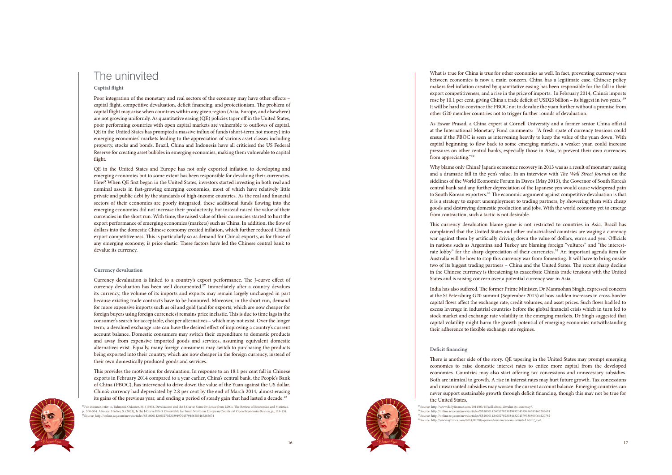16



<sup>a</sup>naky<sup>a</sup>

## The uninvited

## **Capital flight**

Poor integration of the monetary and real sectors of the economy may have other effects – capital flight, competitive devaluation, deficit financing, and protectionism. The problem of capital flight may arise when countries within any given region (Asia, Europe, and elsewhere) are not growing uniformly. As quantitative easing (QE) policies taper off in the United States, poor performing countries with open capital markets are vulnerable to outflows of capital. QE in the United States has prompted a massive influx of funds (short-term hot money) into emerging economies' markets leading to the appreciation of various asset classes including property, stocks and bonds. Brazil, China and Indonesia have all criticised the US Federal Reserve for creating asset bubbles in emerging economies, making them vulnerable to capital flight.

QE in the United States and Europe has not only exported inflation to developing and emerging economies but to some extent has been responsible for devaluing their currencies. How? When QE first began in the United States, investors started investing in both real and nominal assets in fast-growing emerging economies, most of which have relatively little private and public debt by the standards of high-income countries. As the real and financial sectors of their economies are poorly integrated, these additional funds flowing into the emerging economies did not increase their productivity, but instead raised the value of their currencies in the short run. With time, the raised value of their currencies started to hurt the export performance of emerging economies (markets) such as China. In addition, the flow of dollars into the domestic Chinese economy created inflation, which further reduced China's export competitiveness. This is particularly so as demand for China's exports, as for those of any emerging economy, is price elastic. These factors have led the Chinese central bank to devalue its currency.

This provides the motivation for devaluation. In response to an 18.1 per cent fall in Chinese exports in February 2014 compared to a year earlier, China's central bank, the People's Bank of China (PBOC), has intervened to drive down the value of the Yuan against the US dollar. China's currency had depreciated by 2.8 per cent by the end of March 2014, almost erasing its gains of the previous year, and ending a period of steady gain that had lasted a decade.<sup>28</sup>

#### **Currency devaluation**

As Eswar Prasad, a China expert at Cornell University and a former senior China official at the International Monetary Fund comments: "A fresh spate of currency tensions could ensue if the PBOC is seen as intervening heavily to keep the value of the yuan down. With capital beginning to flow back to some emerging markets, a weaker yuan could increase pressures on other central banks, especially those in Asia, to prevent their own currencies from appreciating."30

Currency devaluation is linked to a country's export performance. The J-curve effect of currency devaluation has been well documented. 2⁷ Immediately after a country devalues its currency, the volume of its imports and exports may remain largely unchanged in part because existing trade contracts have to be honoured. Moreover, in the short run, demand for more expensive imports such as oil and gold (and for exports, which are now cheaper for foreign buyers using foreign currencies) remains price inelastic. This is due to time lags in the consumer's search for acceptable, cheaper alternatives – which may not exist. Over the longer term, a devalued exchange rate can have the desired effect of improving a country's current account balance. Domestic consumers may switch their expenditure to domestic products and away from expensive imported goods and services, assuming equivalent domestic alternatives exist. Equally, many foreign consumers may switch to purchasing the products being exported into their country, which are now cheaper in the foreign currency, instead of their own domestically produced goods and services.

What is true for China is true for other economies as well. In fact, preventing currency wars between economies is now a main concern. China has a legitimate case. Chinese policy makers feel inflation created by quantitative easing has been responsible for the fall in their export competitiveness, and a rise in the price of imports. In February 2014, China's imports rose by 10.1 per cent, giving China a trade deficit of USD23 billion – its biggest in two years.<sup>29</sup> It will be hard to convince the PBOC not to devalue the yuan further without a promise from other G20 member countries not to trigger further rounds of devaluation.

Why blame only China? Japan's economic recovery in 2013 was as a result of monetary easing and a dramatic fall in the yen's value. In an interview with *The Wall Street Journal* on the sidelines of the World Economic Forum in Davos (May 2013), the Governor of South Korea's central bank said any further depreciation of the Japanese yen would cause widespread pain to South Korean exporters.31 The economic argument against competitive devaluation is that it is a strategy to export unemployment to trading partners, by showering them with cheap goods and destroying domestic production and jobs. With the world economy yet to emerge from contraction, such a tactic is not desirable.

This currency devaluation blame game is not restricted to countries in Asia. Brazil has complained that the United States and other industrialised countries are waging a currency war against them by artificially driving down the value of dollars, euros and yen. Officials in nations such as Argentina and Turkey are blaming foreign "vultures" and "the interestrate lobby" for the sharp depreciation of their currencies.<sup>32</sup> An important agenda item for Australia will be how to stop this currency war from fomenting. It will have to bring onside two of its biggest trading partners – China and the United States. The recent sharp decline in the Chinese currency is threatening to exacerbate China's trade tensions with the United States and is raising concern over a potential currency war in Asia.

India has also suffered. The former Prime Minister, Dr Manmohan Singh, expressed concern at the St Petersburg G20 summit (September 2013) at how sudden increases in cross-border capital flows affect the exchange rate, credit volumes, and asset prices. Such flows had led to excess leverage in industrial countries before the global financial crisis which in turn led to stock market and exchange rate volatility in the emerging markets. Dr Singh suggested that capital volatility might harm the growth potential of emerging economies notwithstanding their adherence to flexible exchange rate regimes.

## **Deficit financing**

 $\mathcal{C}_h$ 

There is another side of the story. QE tapering in the United States may prompt emerging economies to raise domestic interest rates to entice more capital from the developed economies. Countries may also start offering tax concessions and unnecessary subsidies. Both are inimical to growth. A rise in interest rates may hurt future growth. Tax concessions and unwarranted subsidies may worsen the current account balance. Emerging countries can never support sustainable growth through deficit financing, though this may not be true for the United States.

<sup>29</sup>Source: http://www.dailyfinance.com/2014/03/15/will-china-devalue-its-currency/. 3⁰Source: http://online.wsj.com/news/articles/SB10001424052702303949704579456583465285674 31Source: http://online.wsj.com/news/articles/SB10001424052702303448204579338800064220782  $32$ Source: http://www.nytimes.com/2014/02/08/opinion/currency-wars-revisited.html? $r=0$ .

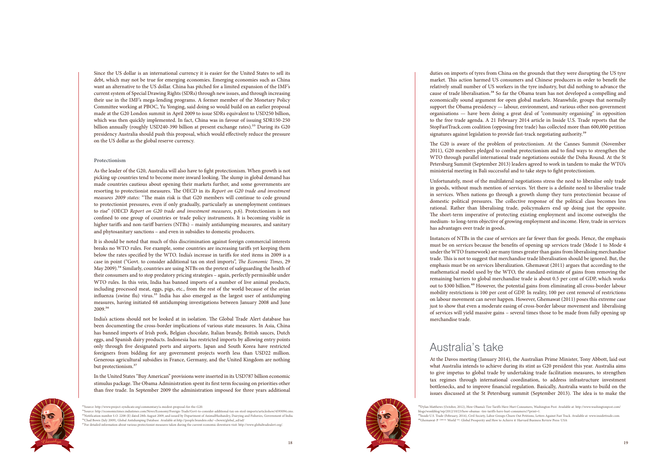

Since the US dollar is an international currency it is easier for the United States to sell its debt, which may not be true for emerging economies. Emerging economies such as China want an alternative to the US dollar. China has pitched for a limited expansion of the IMF's current system of Special Drawing Rights (SDRs) through new issues, and through increasing their use in the IMF's mega-lending programs. A former member of the Monetary Policy Committee working at PBOC, Yu Yonging, said doing so would build on an earlier proposal made at the G20 London summit in April 2009 to issue SDRs equivalent to USD250 billion, which was then quickly implemented. In fact, China was in favour of issuing SDR150-250 billion annually (roughly USD240-390 billion at present exchange rates).<sup>33</sup> During its G20 presidency Australia should push this proposal, which would effectively reduce the pressure on the US dollar as the global reserve currency.

It is should be noted that much of this discrimination against foreign commercial interests breaks no WTO rules. For example, some countries are increasing tariffs yet keeping them below the rates specified by the WTO. India's increase in tariffs for steel items in 2009 is a case in point ("Govt. to consider additional tax on steel imports", *The Economic Times*, 29 May 2009).<sup>34</sup> Similarly, countries are using NTBs on the pretext of safeguarding the health of their consumers and to stop predatory pricing strategies – again, perfectly permissible under WTO rules. In this vein, India has banned imports of a number of live animal products, including processed meat, eggs, pigs, etc., from the rest of the world because of the avian influenza (swine flu) virus.<sup>35</sup> India has also emerged as the largest user of antidumping measures, having initiated 68 antidumping investigations between January 2008 and June  $2009.^{36}$ 

#### **Protectionism**

India's actions should not be looked at in isolation. The Global Trade Alert database has been documenting the cross-border implications of various state measures. In Asia, China has banned imports of Irish pork, Belgian chocolate, Italian brandy, British sauces, Dutch eggs, and Spanish dairy products. Indonesia has restricted imports by allowing entry points only through five designated ports and airports. Japan and South Korea have restricted foreigners from bidding for any government projects worth less than USD22 million. Generous agricultural subsidies in France, Germany, and the United Kingdom are nothing but protectionism.<sup>37</sup>

As the leader of the G20, Australia will also have to fight protectionism. When growth is not picking up countries tend to become more inward looking. The slump in global demand has made countries cautious about opening their markets further, and some governments are resorting to protectionist measures. The OECD in its *Report on G20 trade and investment measures 2009 states:* "The main risk is that G20 members will continue to cede ground to protectionist pressures, even if only gradually, particularly as unemployment continues to rise" (OECD *Report on G20 trade and investment measures*, p.6). Protectionism is not confined to one group of countries or trade policy instruments. It is becoming visible in higher tariffs and non-tariff barriers (NTBs) – mainly antidumping measures, and sanitary and phytosanitary sanctions – and even in subsidies to domestic producers.

duties on imports of tyres from China on the grounds that they were disrupting the US tyre market. This action harmed US consumers and Chinese producers in order to benefit the relatively small number of US workers in the tyre industry, but did nothing to advance the cause of trade liberalisation.<sup>38</sup> So far the Obama team has not developed a compelling and economically sound argument for open global markets. Meanwhile, groups that normally support the Obama presidency — labour, environment, and various other non-government organisations — have been doing a great deal of "community organising" in opposition to the free trade agenda. A 21 February 2014 article in Inside U.S. Trade reports that the StopFastTrack.com coalition (opposing free trade) has collected more than 600,000 petition signatures against legislation to provide fast-track negotiating authority.<sup>39</sup>

In the United States "Buy American" provisions were inserted in its USD787 billion economic stimulus package. The Obama Administration spent its first term focusing on priorities other than free trade. In September 2009 the administration imposed for three years additional



<sup>93</sup>Source: http://www.project-syndicate.org/commentary/a-modest-proposal-for-the-G20.<br><sup>94</sup>Source: http://economictimes.indiatimes.com/News/Economy/Foreign-Trade/Govt-to-consider-additional-tax-on-steel-imports/articleshow <sup>36</sup>Chad Bown (July 2009), Global Antidumping Database. Available at:http://people.brandeis.edu/~cbown/global\_ad/ad

 $37$  For detailed information about various protectionist measures taken during the current economic downturn visit: http://www.globaltradealert.org/

The G20 is aware of the problem of protectionism. At the Cannes Summit (November 2011), G20 members pledged to combat protectionism and to find ways to strengthen the WTO through parallel international trade negotiations outside the Doha Round. At the St Petersburg Summit (September 2013) leaders agreed to work in tandem to make the WTO's ministerial meeting in Bali successful and to take steps to fight protectionism.

Unfortunately, most of the multilateral negotiations stress the need to liberalise only trade in goods, without much mention of services. Yet there is a definite need to liberalise trade in services. When nations go through a growth slump they turn protectionist because of domestic political pressures. The collective response of the political class becomes less rational. Rather than liberalising trade, policymakers end up doing just the opposite. The short-term imperative of protecting existing employment and income outweighs the medium- to long-term objective of growing employment and income. Here, trade in services has advantages over trade in goods.

Instances of NTBs in the case of services are far fewer than for goods. Hence, the emphasis must be on services because the benefits of opening up services trade (Mode 1 to Mode 4 under the WTO framework) are many times greater than gains from liberalising merchandise trade. This is not to suggest that merchandise trade liberalisation should be ignored. But, the emphasis must be on services liberalization. Ghemawat (2011) argues that according to the mathematical model used by the WTO, the standard estimate of gains from removing the remaining barriers to global merchandise trade is about 0.5 per cent of GDP, which works out to \$300 billion.<sup>40</sup> However, the potential gains from eliminating all cross-border labour mobility restrictions is 100 per cent of GDP. In reality, 100 per cent removal of restrictions on labour movement can never happen. However, Ghemawat (2011) poses this extreme case just to show that even a moderate easing of cross-border labour movement and liberalising of services will yield massive gains – several times those to be made from fully opening up merchandise trade.

## Australia's take

At the Davos meeting (January 2014), the Australian Prime Minister, Tony Abbott, laid out what Australia intends to achieve during its stint as G20 president this year. Australia aims to give impetus to global trade by undertaking trade facilitation measures, to strengthen tax regimes through international coordination, to address infrastructure investment bottlenecks, and to improve financial regulation. Basically, Australia wants to build on the issues discussed at the St Petersburg summit (September 2013). The idea is to make the

⁴⁰Ghemawat, P. (2011). World 3.0: Global Prosperity and How to Achieve it. Harvard Business Review Press. USA.

<sup>&</sup>lt;sup>38</sup>Dylan Matthews (October, 2012), How Obama's Tire Tariffs Have Hurt Consumers, Washington Post. Available at: http://www.washingtonpost.com/<br>blogs/wonkblog/wp/2012/10/23/how-obamas -tire-tariffs-have-hurt-consumers//?pr

<sup>&</sup>lt;sup>39</sup>Inside U.S. Trade (February, 2014), Civil Society, Labor Groups Churn Out Petitions, Letters Against Fast Track. Available at: www.insidettrade.com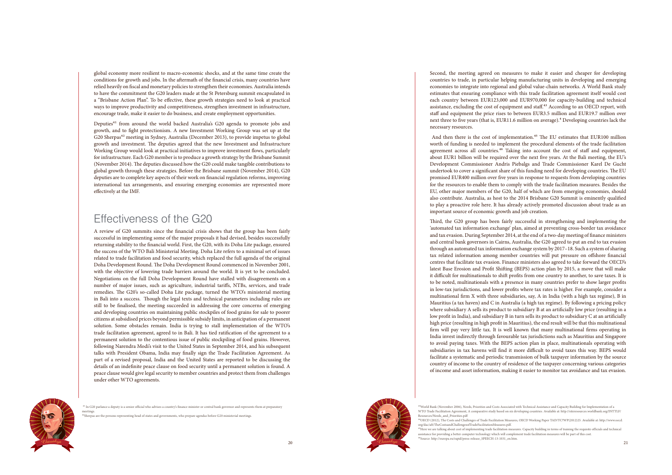



global economy more resilient to macro-economic shocks, and at the same time create the conditions for growth and jobs. In the aftermath of the financial crisis, many countries have relied heavily on fiscal and monetary policies to strengthen their economies. Australia intends to have the commitment the G20 leaders made at the St Petersburg summit encapsulated in a "Brisbane Action Plan". To be effective, these growth strategies need to look at practical ways to improve productivity and competitiveness, strengthen investment in infrastructure, encourage trade, make it easier to do business, and create employment opportunities.

Deputies<sup>41</sup> from around the world backed Australia's G20 agenda to promote jobs and growth, and to fight protectionism. A new Investment Working Group was set up at the G20 Sherpas<sup>42</sup> meeting in Sydney, Australia (December 2013), to provide impetus to global growth and investment. The deputies agreed that the new Investment and Infrastructure Working Group would look at practical initiatives to improve investment flows, particularly for infrastructure. Each G20 member is to produce a growth strategy by the Brisbane Summit (November 2014). The deputies discussed how the G20 could make tangible contributions to global growth through these strategies. Before the Brisbane summit (November 2014), G20 deputies are to complete key aspects of their work on financial regulation reforms, improving international tax arrangements, and ensuring emerging economies are represented more effectively at the IMF.

## Effectiveness of the G20

A review of G20 summits since the financial crisis shows that the group has been fairly successful in implementing some of the major proposals it had devised, besides successfully returning stability to the financial world. First, the G20, with its Doha Lite package, ensured the success of the WTO Bali Ministerial Meeting. Doha Lite refers to a minimal set of issues related to trade facilitation and food security, which replaced the full agenda of the original Doha Development Round. The Doha Development Round commenced in November 2001, with the objective of lowering trade barriers around the world. It is yet to be concluded. Negotiations on the full Doha Development Round have stalled with disagreements on a number of major issues, such as agriculture, industrial tariffs, NTBs, services, and trade remedies. The G20's so-called Doha Lite package, turned the WTO's ministerial meeting in Bali into a success. Though the legal texts and technical parameters including rules are still to be finalised, the meeting succeeded in addressing the core concerns of emerging and developing countries on maintaining public stockpiles of food grains for sale to poorer citizens at subsidised prices beyond permissible subsidy limits, in anticipation of a permanent solution. Some obstacles remain. India is trying to stall implementation of the WTO's trade facilitation agreement, agreed to in Bali. It has tied ratification of the agreement to a permanent solution to the contentious issue of public stockpiling of food grains. However, following Narendra Modi's visit to the United States in September 2014, and his subsequent talks with President Obama, India may finally sign the Trade Facilitation Agreement. As part of a revised proposal, India and the United States are reported to be discussing the details of an indefinite peace clause on food security until a permanent solution is found. A peace clause would give legal security to member countries and protect them from challenges under other WTO agreements.

And then there is the cost of implementation.<sup>45</sup> The EU estimates that EUR100 million worth of funding is needed to implement the procedural elements of the trade facilitation agreement across all countries.<sup>46</sup> Taking into account the cost of staff and equipment, about EUR1 billion will be required over the next five years. At the Bali meeting, the EU's Development Commissioner Andris Piebalgs and Trade Commissioner Karel De Gucht undertook to cover a significant share of this funding need for developing countries. The EU promised EUR400 million over five years in response to requests from developing countries for the resources to enable them to comply with the trade facilitation measures. Besides the EU, other major members of the G20, half of which are from emerging economies, should also contribute. Australia, as host to the 2014 Brisbane G20 Summit is eminently qualified to play a proactive role here. It has already actively promoted discussion about trade as an important source of economic growth and job creation.

<sup>41</sup> In G20 parlance a deputy is a senior official who advises a country's finance minister or central bank governor and represents them at preparatory meetings.

Second, the meeting agreed on measures to make it easier and cheaper for developing countries to trade, in particular helping manufacturing units in developing and emerging economies to integrate into regional and global value-chain networks. A World Bank study estimates that ensuring compliance with this trade facilitation agreement itself would cost each country between EUR123,000 and EUR970,000 for capacity-building and technical assistance, excluding the cost of equipment and staff.<sup>43</sup> According to an OECD report, with staff and equipment the price rises to between EUR3.5 million and EUR19.7 million over next three to five years (that is, EUR11.6 million on average).<sup>4</sup> Developing countries lack the necessary resources.

Third, the G20 group has been fairly successful in strengthening and implementing the 'automated tax information exchange' plan, aimed at preventing cross-border tax avoidance and tax evasion. During September 2014, at the end of a two-day meeting of finance ministers and central bank governors in Cairns, Australia, the G20 agreed to put an end to tax evasion through an automated tax information exchange system by 2017–18. Such a system of sharing tax related information among member countries will put pressure on offshore financial centres that facilitate tax evasion. Finance ministers also agreed to take forward the OECD's latest Base Erosion and Profit Shifting (BEPS) action plan by 2015, a move that will make it difficult for multinationals to shift profits from one country to another, to save taxes. It is to be noted, multinationals with a presence in many countries prefer to show larger profits in low-tax jurisdictions, and lower profits where tax rates is higher. For example, consider a multinational firm X with three subsidiaries, say, A in India (with a high tax regime), B in Mauritius (a tax haven) and C in Australia (a high tax regime). By following a pricing policy where subsidiary A sells its product to subsidiary B at an artificially low price (resulting in a low profit in India), and subsidiary B in turn sells its product to subsidiary C at an artificially high price (resulting in high profit in Mauritius), the end result will be that this multinational firm will pay very little tax. It is well known that many multinational firms operating in India invest indirectly through favourable tax jurisdictions such as Mauritius and Singapore to avoid paying taxes. With the BEPS action plan in place, multinationals operating with subsidiaries in tax havens will find it more difficult to avoid taxes this way. BEPS would facilitate a systematic and periodic transmission of bulk taxpayer information by the source country of income to the country of residence of the taxpayer concerning various categories of income and asset information, making it easier to monitor tax avoidance and tax evasion.

⁴2Sherpas are the persons representing head of states and governments, who prepare agendas before G20 ministerial meetings.

Resources/Needs\_and\_Priorities.pdf

 $\alpha$ rg/dac/aft/TheCostsandChallengesofTradeFacilitationMeasures.pdf. ⁴⁵Here we are talking about cost of implementing trade facilitation measures. Capacity building in terms of training the requisite officials and technical assistance for providing a better computer technology which will complement trade facilitation measures will be part of this cost. Source: http://europa.eu/rapid/press-release\_SPEECH-13-1031\_en.htm.

⁴ 3World Bank (November 2006), Needs, Priorities and Costs Associated with Technical Assistance and Capacity Building for Implementation of a WTO Trade Facilitation Agreement, A comparative study based on six developing countries. Available at: http://siteresources.worldbank.org/INTTLF/

⁴⁴OECD (2012), The Costs and Challenges of Trade Facilitation Measures, OECD Working Paper TAD/TC?WP(2012)25. Available at: http://www.oecd.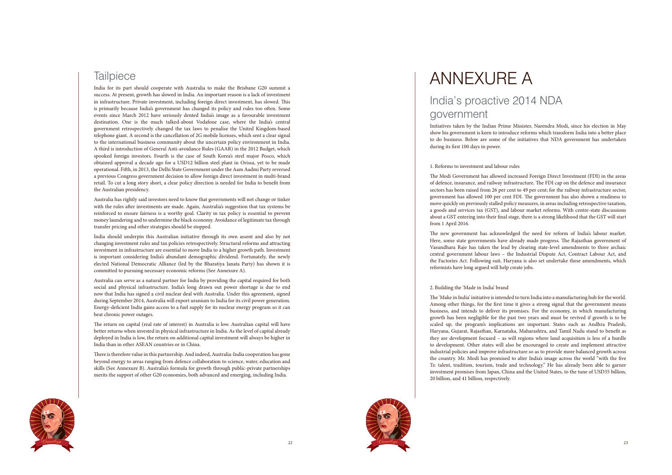



## **Tailpiece**

India for its part should cooperate with Australia to make the Brisbane G20 summit a success. At present, growth has slowed in India. An important reason is a lack of investment in infrastructure. Private investment, including foreign direct investment, has slowed. This is primarily because India's government has changed its policy and rules too often. Some events since March 2012 have seriously dented India's image as a favourable investment destination. One is the much talked-about Vodafone case, where the India's central government retrospectively changed the tax laws to penalise the United Kingdom-based telephone giant. A second is the cancellation of 2G mobile licenses, which sent a clear signal to the international business community about the uncertain policy environment in India. A third is introduction of General Anti-avoidance Rules (GAAR) in the 2012 Budget, which spooked foreign investors. Fourth is the case of South Korea's steel major Posco, which obtained approval a decade ago for a USD12 billion steel plant in Orissa, yet to be made operational. Fifth, in 2013, the Delhi State Government under the Aam Aadmi Party reversed a previous Congress government decision to allow foreign direct investment in multi-brand retail. To cut a long story short, a clear policy direction is needed for India to benefit from the Australian presidency.

Australia has rightly said investors need to know that governments will not change or tinker with the rules after investments are made. Again, Australia's suggestion that tax systems be reinforced to ensure fairness is a worthy goal. Clarity in tax policy is essential to prevent money laundering and to undermine the black economy. Avoidance of legitimate tax through transfer pricing and other strategies should be stopped.

India should underpin this Australian initiative through its own assent and also by not changing investment rules and tax policies retrospectively. Structural reforms and attracting investment in infrastructure are essential to move India to a higher growth path. Investment is important considering India's abundant demographic dividend. Fortunately, the newly elected National Democratic Alliance (led by the Bharatiya Janata Party) has shown it is committed to pursuing necessary economic reforms (See Annexure A).

Australia can serve as a natural partner for India by providing the capital required for both social and physical infrastructure. India's long drawn out power shortage is due to end now that India has signed a civil nuclear deal with Australia. Under this agreement, signed during September 2014, Australia will export uranium to India for its civil power generation. Energy-deficient India gains access to a fuel supply for its nuclear energy program so it can beat chronic power outages.

The return on capital (real rate of interest) in Australia is low. Australian capital will have better returns when invested in physical infrastructure in India. As the level of capital already deployed in India is low, the return on additional capital investment will always be higher in India than in other ASEAN countries or in China.

There is therefore value in this partnership. And indeed, Australia-India cooperation has gone beyond energy to areas ranging from defence collaboration to science, water, education and skills (See Annexure B). Australia's formula for growth through public-private partnerships merits the support of other G20 economies, both advanced and emerging, including India.

# ANNEXURE A India's proactive 2014 NDA

# government

Initiatives taken by the Indian Prime Minister, Narendra Modi, since his election in May show his government is keen to introduce reforms which transform India into a better place to do business. Below are some of the initiatives that NDA government has undertaken during its first 100 days in power.

### 1. Reforms to investment and labour rules

The Modi Government has allowed increased Foreign Direct Investment (FDI) in the areas of defence, insurance, and railway infrastructure. The FDI cap on the defence and insurance sectors has been raised from 26 per cent to 49 per cent; for the railway infrastructure sector, government has allowed 100 per cent FDI. The government has also shown a readiness to move quickly on previously stalled policy measures, in areas including retrospective taxation, a goods and services tax (GST), and labour market reforms. With centre-state discussions about a GST entering into their final stage, there is a strong likelihood that the GST will start from 1 April 2016.

The new government has acknowledged the need for reform of India's labour market. Here, some state governments have already made progress. The Rajasthan government of Vasundhara Raje has taken the lead by clearing state-level amendments to three archaic central government labour laws – the Industrial Dispute Act, Contract Labour Act, and the Factories Act. Following suit, Haryana is also set undertake these amendments, which reformists have long argued will help create jobs.

## 2. Building the 'Made in India' brand

The 'Make in India' initiative is intended to turn India into a manufacturing hub for the world. Among other things, for the first time it gives a strong signal that the government means business, and intends to deliver its promises. For the economy, in which manufacturing growth has been negligible for the past two years and must be revived if growth is to be scaled up, the program's implications are important. States such as Andhra Pradesh, Haryana, Gujarat, Rajasthan, Karnataka, Maharashtra, and Tamil Nadu stand to benefit as they are development focused – as will regions where land acquisition is less of a hurdle to development. Other states will also be encouraged to create and implement attractive industrial policies and improve infrastructure so as to provide more balanced growth across the country. Mr. Modi has promised to alter India's image across the world "with the five Ts: talent, tradition, tourism, trade and technology." He has already been able to garner investment promises from Japan, China and the United States, to the tune of USD35 billion, 20 billion, and 41 billion, respectively.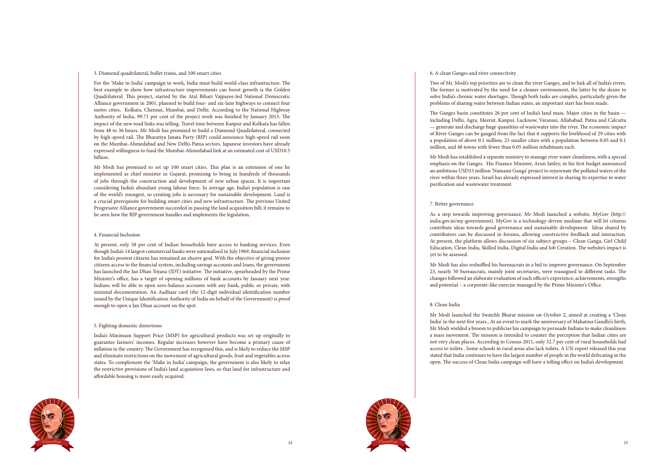

### 3. Diamond quadrilateral, bullet trains, and 100 smart cities

For the 'Make in India' campaign to work, India must build world-class infrastructure. The best example to show how infrastructure improvements can boost growth is the Golden Quadrilateral. This project, started by the Atal Bihari Vajpayee-led National Democratic Alliance government in 2001, planned to build four- and six-lane highways to connect four metro cities, Kolkata, Chennai, Mumbai, and Delhi. According to the National Highway Authority of India, 99.71 per cent of the project work was finished by January 2013. The impact of the new road links was telling. Travel time between Kanpur and Kolkata has fallen from 48 to 36 hours. Mr Modi has promised to build a Diamond Quadrilateral, connected by high-speed rail. The Bharatiya Janata Party (BJP) could announce high-speed rail soon on the Mumbai-Ahmedabad and New Delhi-Patna sectors. Japanese investors have already expressed willingness to fund the Mumbai-Ahmedabad link at an estimated cost of USD10.5 billion.

Mr Modi has promised to set up 100 smart cities. This plan is an extension of one he implemented as chief minister in Gujarat, promising to bring in hundreds of thousands of jobs through the construction and development of new urban spaces. It is important considering India's abundant young labour force. In average age, India's population is one of the world's youngest, so creating jobs is necessary for sustainable development. Land is a crucial prerequisite for building smart cities and new infrastructure. The previous United Progressive Alliance government succeeded in passing the land acquisition bill; it remains to be seen how the BJP government handles and implements the legislation.

## 4. Financial Inclusion

At present, only 58 per cent of Indian households have access to banking services. Even though India's 14 largest commercial banks were nationalised in July 1969, financial inclusion for India's poorest citizens has remained an elusive goal. With the objective of giving poorer citizens access to the financial system, including savings accounts and loans, the government has launched the Jan Dhan Yojana (JDY) initiative. The initiative, spearheaded by the Prime Minister's office, has a target of opening millions of bank accounts by January next year. Indians will be able to open zero-balance accounts with any bank, public or private, with minimal documentation. An Aadhaar card (the 12-digit individual identification number issued by the Unique Identification Authority of India on behalf of the Government) is proof enough to open a Jan Dhan account on the spot.

## 5. Fighting domestic distortions

India's Minimum Support Price (MSP) for agricultural products was set up originally to guarantee farmers' incomes. Regular increases however have become a primary cause of inflation in the country. The Government has recognised this, and is likely to reduce the MSP and eliminate restrictions on the movement of agricultural goods, fruit and vegetables across states. To complement the 'Make in India' campaign, the government is also likely to relax the restrictive provisions of India's land acquisition laws, so that land for infrastructure and affordable housing is more easily acquired.



6. A clean Ganges and river connectivity

Two of Mr. Modi's top priorities are to clean the river Ganges, and to link all of India's rivers. The former is motivated by the need for a cleaner environment, the latter by the desire to solve India's chronic water shortages. Though both tasks are complex, particularly given the problems of sharing water between Indian states, an important start has been made.

The Ganges basin constitutes 26 per cent of India's land mass. Major cities in the basin including Delhi, Agra, Meerut, Kanpur, Lucknow, Varanasi, Allahabad, Patna and Calcutta — generate and discharge huge quantities of wastewater into the river. The economic impact of River Ganges can be gauged from the fact that it supports the livelihood of 29 cities with a population of above 0.1 million, 23 smaller cities with a population between 0.05 and 0.1 million, and 48 towns with fewer than 0.05 million inhabitants each.

Mr Modi has established a separate ministry to manage river water cleanliness, with a special emphasis on the Ganges. His Finance Minister, Arun Jaitley, in his first budget announced an ambitious USD33 million 'Namami Ganga' project to rejuvenate the polluted waters of the river within three years. Israel has already expressed interest in sharing its expertise in water purification and wastewater treatment.

#### 7. Better governance

As a step towards improving governance, Mr Modi launched a website, MyGov (http:// india.gov.in/my-government). MyGov is a technology-driven medium that will let citizens contribute ideas towards good governance and sustainable development. Ideas shared by contributors can be discussed in forums, allowing constructive feedback and interaction. At present, the platform allows discussion of six subject groups – Clean Ganga, Girl Child Education, Clean India, Skilled India, Digital India and Job Creation. The website's impact is yet to be assessed.

Mr Modi has also reshuffled his bureaucrats in a bid to improve governance. On September 23, nearly 50 bureaucrats, mainly joint secretaries, were reassigned to different tasks. The changes followed an elaborate evaluation of each officer's experience, achievements, strengths and potential – a corporate-like exercise managed by the Prime Minister's Office.

## 8. Clean India

Mr Modi launched the Swatchh Bharat mission on October 2, aimed at creating a 'Clean India' in the next five years., At an event to mark the anniversary of Mahatma Gandhi's birth, Mr Modi wielded a broom to publicise his campaign to persuade Indians to make cleanliness a mass movement. The mission is intended to counter the perception that Indian cities are not very clean places. According to Census 2011, only 32.7 per cent of rural households had access to toilets . Some schools in rural areas also lack toilets. A UN report released this year stated that India continues to have the largest number of people in the world defecating in the open. The success of Clean India campaign will have a telling effect on India's development.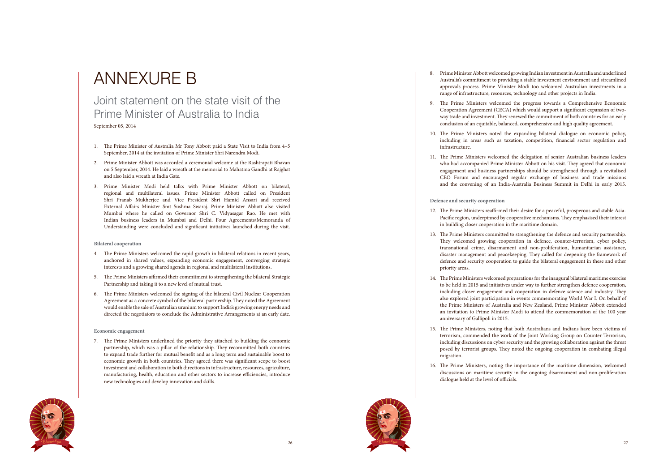



# ANNEXURE B

## Joint statement on the state visit of the Prime Minister of Australia to India

September 05, 2014

- 1. The Prime Minister of Australia Mr Tony Abbott paid a State Visit to India from 4–5 September, 2014 at the invitation of Prime Minister Shri Narendra Modi.
- 2. Prime Minister Abbott was accorded a ceremonial welcome at the Rashtrapati Bhavan on 5 September, 2014. He laid a wreath at the memorial to Mahatma Gandhi at Rajghat and also laid a wreath at India Gate.
- 3. Prime Minister Modi held talks with Prime Minister Abbott on bilateral, regional and multilateral issues. Prime Minister Abbott called on President Shri Pranab Mukherjee and Vice President Shri Hamid Ansari and received External Affairs Minister Smt Sushma Swaraj. Prime Minister Abbott also visited Mumbai where he called on Governor Shri C. Vidyasagar Rao. He met with Indian business leaders in Mumbai and Delhi. Four Agreements/Memoranda of Understanding were concluded and significant initiatives launched during the visit.

#### **Bilateral cooperation**

- 4. The Prime Ministers welcomed the rapid growth in bilateral relations in recent years, anchored in shared values, expanding economic engagement, converging strategic interests and a growing shared agenda in regional and multilateral institutions.
- 5. The Prime Ministers affirmed their commitment to strengthening the bilateral Strategic Partnership and taking it to a new level of mutual trust.
- 6. The Prime Ministers welcomed the signing of the bilateral Civil Nuclear Cooperation Agreement as a concrete symbol of the bilateral partnership. They noted the Agreement would enable the sale of Australian uranium to support India's growing energy needs and directed the negotiators to conclude the Administrative Arrangements at an early date.

## **Economic engagement**

7. The Prime Ministers underlined the priority they attached to building the economic partnership, which was a pillar of the relationship. They recommitted both countries to expand trade further for mutual benefit and as a long term and sustainable boost to economic growth in both countries. They agreed there was significant scope to boost investment and collaboration in both directions in infrastructure, resources, agriculture, manufacturing, health, education and other sectors to increase efficiencies, introduce new technologies and develop innovation and skills.

8. Prime Minister Abbott welcomed growing Indian investment in Australia and underlined Australia's commitment to providing a stable investment environment and streamlined approvals process. Prime Minister Modi too welcomed Australian investments in a range of infrastructure, resources, technology and other projects in India.

9. The Prime Ministers welcomed the progress towards a Comprehensive Economic Cooperation Agreement (CECA) which would support a significant expansion of twoway trade and investment. They renewed the commitment of both countries for an early conclusion of an equitable, balanced, comprehensive and high quality agreement.

10. The Prime Ministers noted the expanding bilateral dialogue on economic policy, including in areas such as taxation, competition, financial sector regulation and

- 
- 
- infrastructure.
- 

11. The Prime Ministers welcomed the delegation of senior Australian business leaders who had accompanied Prime Minister Abbott on his visit. They agreed that economic engagement and business partnerships should be strengthened through a revitalised CEO Forum and encouraged regular exchange of business and trade missions and the convening of an India-Australia Business Summit in Delhi in early 2015.

#### **Defence and security cooperation**

12. The Prime Ministers reaffirmed their desire for a peaceful, prosperous and stable Asia-Pacific region, underpinned by cooperative mechanisms. They emphasised their interest

13. The Prime Ministers committed to strengthening the defence and security partnership. They welcomed growing cooperation in defence, counter-terrorism, cyber policy, transnational crime, disarmament and non-proliferation, humanitarian assistance, disaster management and peacekeeping. They called for deepening the framework of defence and security cooperation to guide the bilateral engagement in these and other

14. The Prime Ministers welcomed preparations for the inaugural bilateral maritime exercise to be held in 2015 and initiatives under way to further strengthen defence cooperation, including closer engagement and cooperation in defence science and industry. They also explored joint participation in events commemorating World War I. On behalf of the Prime Ministers of Australia and New Zealand, Prime Minister Abbott extended an invitation to Prime Minister Modi to attend the commemoration of the 100 year

- in building closer cooperation in the maritime domain.
- priority areas.
- anniversary of Gallipoli in 2015.
- migration.
- dialogue held at the level of officials.

15. The Prime Ministers, noting that both Australians and Indians have been victims of terrorism, commended the work of the Joint Working Group on Counter-Terrorism, including discussions on cyber security and the growing collaboration against the threat posed by terrorist groups. They noted the ongoing cooperation in combating illegal

16. The Prime Ministers, noting the importance of the maritime dimension, welcomed discussions on maritime security in the ongoing disarmament and non-proliferation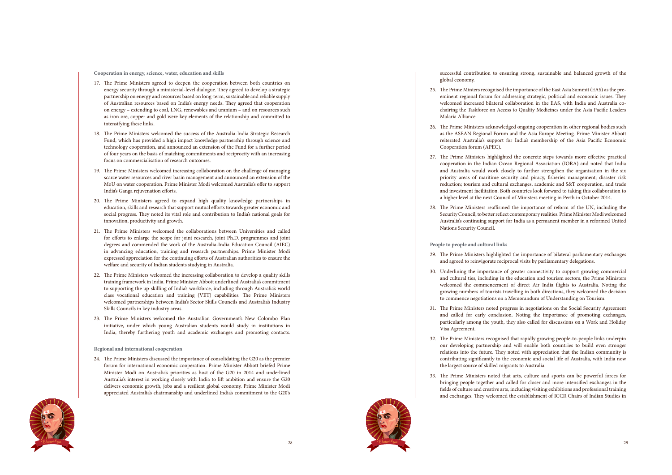



**Cooperation in energy, science, water, education and skills**

- 17. The Prime Ministers agreed to deepen the cooperation between both countries on energy security through a ministerial-level dialogue. They agreed to develop a strategic partnership on energy and resources based on long-term, sustainable and reliable supply of Australian resources based on India's energy needs. They agreed that cooperation on energy – extending to coal, LNG, renewables and uranium – and on resources such as iron ore, copper and gold were key elements of the relationship and committed to intensifying these links.
- 18. The Prime Ministers welcomed the success of the Australia-India Strategic Research Fund, which has provided a high impact knowledge partnership through science and technology cooperation, and announced an extension of the Fund for a further period of four years on the basis of matching commitments and reciprocity with an increasing focus on commercialisation of research outcomes.
- 19. The Prime Ministers welcomed increasing collaboration on the challenge of managing scarce water resources and river basin management and announced an extension of the MoU on water cooperation. Prime Minister Modi welcomed Australia's offer to support India's Ganga rejuvenation efforts.
- 20. The Prime Ministers agreed to expand high quality knowledge partnerships in education, skills and research that support mutual efforts towards greater economic and social progress. They noted its vital role and contribution to India's national goals for innovation, productivity and growth.
- 21. The Prime Ministers welcomed the collaborations between Universities and called for efforts to enlarge the scope for joint research, joint Ph.D. programmes and joint degrees and commended the work of the Australia-India Education Council (AIEC) in advancing education, training and research partnerships. Prime Minister Modi expressed appreciation for the continuing efforts of Australian authorities to ensure the welfare and security of Indian students studying in Australia.
- 22. The Prime Ministers welcomed the increasing collaboration to develop a quality skills training framework in India. Prime Minister Abbott underlined Australia's commitment to supporting the up-skilling of India's workforce, including through Australia's world class vocational education and training (VET) capabilities. The Prime Ministers welcomed partnerships between India's Sector Skills Councils and Australia's Industry Skills Councils in key industry areas.
- 23. The Prime Ministers welcomed the Australian Government's New Colombo Plan initiative, under which young Australian students would study in institutions in India, thereby furthering youth and academic exchanges and promoting contacts.

#### **Regional and international cooperation**

24. The Prime Ministers discussed the importance of consolidating the G20 as the premier forum for international economic cooperation. Prime Minister Abbott briefed Prime Minister Modi on Australia's priorities as host of the G20 in 2014 and underlined Australia's interest in working closely with India to lift ambition and ensure the G20 delivers economic growth, jobs and a resilient global economy. Prime Minister Modi appreciated Australia's chairmanship and underlined India's commitment to the G20's successful contribution to ensuring strong, sustainable and balanced growth of the

global economy.

25. The Prime Minters recognised the importance of the East Asia Summit (EAS) as the preeminent regional forum for addressing strategic, political and economic issues. They welcomed increased bilateral collaboration in the EAS, with India and Australia cochairing the Taskforce on Access to Quality Medicines under the Asia Pacific Leaders

26. The Prime Ministers acknowledged ongoing cooperation in other regional bodies such as the ASEAN Regional Forum and the Asia Europe Meeting. Prime Minister Abbott reiterated Australia's support for India's membership of the Asia Pacific Economic

- Malaria Alliance.
- Cooperation forum (APEC).
- 
- Nations Security Council.

27. The Prime Ministers highlighted the concrete steps towards more effective practical cooperation in the Indian Ocean Regional Association (IORA) and noted that India and Australia would work closely to further strengthen the organisation in the six priority areas of maritime security and piracy, fisheries management; disaster risk reduction; tourism and cultural exchanges, academic and S&T cooperation, and trade and investment facilitation. Both countries look forward to taking this collaboration to a higher level at the next Council of Ministers meeting in Perth in October 2014.

28. The Prime Ministers reaffirmed the importance of reform of the UN, including the Security Council, to better reflect contemporary realities. Prime Minister Modi welcomed Australia's continuing support for India as a permanent member in a reformed United

**People to people and cultural links**

29. The Prime Ministers highlighted the importance of bilateral parliamentary exchanges and agreed to reinvigorate reciprocal visits by parliamentary delegations.

30. Underlining the importance of greater connectivity to support growing commercial and cultural ties, including in the education and tourism sectors, the Prime Ministers welcomed the commencement of direct Air India flights to Australia. Noting the growing numbers of tourists travelling in both directions, they welcomed the decision to commence negotiations on a Memorandum of Understanding on Tourism.

31. The Prime Ministers noted progress in negotiations on the Social Security Agreement and called for early conclusion. Noting the importance of promoting exchanges, particularly among the youth, they also called for discussions on a Work and Holiday

32. The Prime Ministers recognised that rapidly growing people-to-people links underpin our developing partnership and will enable both countries to build even stronger relations into the future. They noted with appreciation that the Indian community is contributing significantly to the economic and social life of Australia, with India now

- 
- 
- Visa Agreement.
- the largest source of skilled migrants to Australia.
- 

33. The Prime Ministers noted that arts, culture and sports can be powerful forces for bringing people together and called for closer and more intensified exchanges in the fields of culture and creative arts, including visiting exhibitions and professional training and exchanges. They welcomed the establishment of ICCR Chairs of Indian Studies in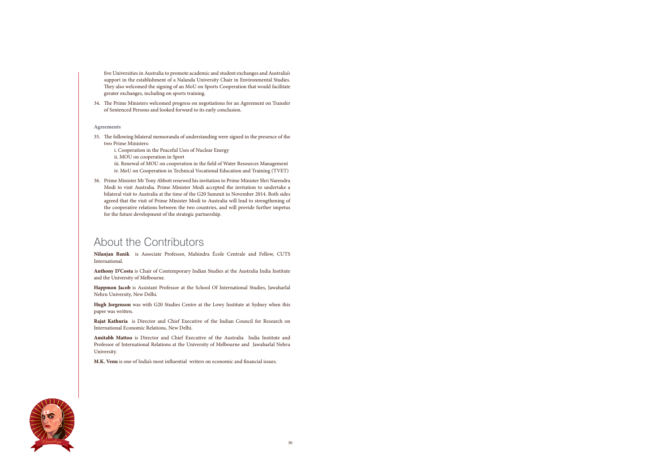

five Universities in Australia to promote academic and student exchanges and Australia's support in the establishment of a Nalanda University Chair in Environmental Studies. They also welcomed the signing of an MoU on Sports Cooperation that would facilitate greater exchanges, including on sports training.

34. The Prime Ministers welcomed progress on negotiations for an Agreement on Transfer of Sentenced Persons and looked forward to its early conclusion.

## **Agreements**

- 35. The following bilateral memoranda of understanding were signed in the presence of the two Prime Ministers:
	- i. Cooperation in the Peaceful Uses of Nuclear Energy
	- ii. MOU on cooperation in Sport

 iii. Renewal of MOU on cooperation in the field of Water Resources Management iv. MoU on Cooperation in Technical Vocational Education and Training (TVET)

36. Prime Minister Mr Tony Abbott renewed his invitation to Prime Minister Shri Narendra Modi to visit Australia. Prime Minister Modi accepted the invitation to undertake a bilateral visit to Australia at the time of the G20 Summit in November 2014. Both sides agreed that the visit of Prime Minister Modi to Australia will lead to strengthening of the cooperative relations between the two countries, and will provide further impetus for the future development of the strategic partnership.

## About the Contributors

**Nilanjan Banik** is Associate Professor, Mahindra École Centrale and Fellow, CUTS International.

**Anthony D'Costa** is Chair of Contemporary Indian Studies at the Australia India Institute and the University of Melbourne.

**Happmon Jacob** is Assistant Professor at the School Of International Studies, Jawaharlal Nehru University, New Delhi.

**Hugh Jorgenson** was with G20 Studies Centre at the Lowy Institute at Sydney when this paper was written.

**Rajat Kathuria** is Director and Chief Executive of the Indian Council for Research on International Economic Relations, New Delhi.

**Amitabh Mattoo** is Director and Chief Executive of the Australia India Institute and Professor of International Relations at the University of Melbourne and Jawaharlal Nehru University.

**M.K. Venu** is one of India's most influential writers on economic and financial issues.